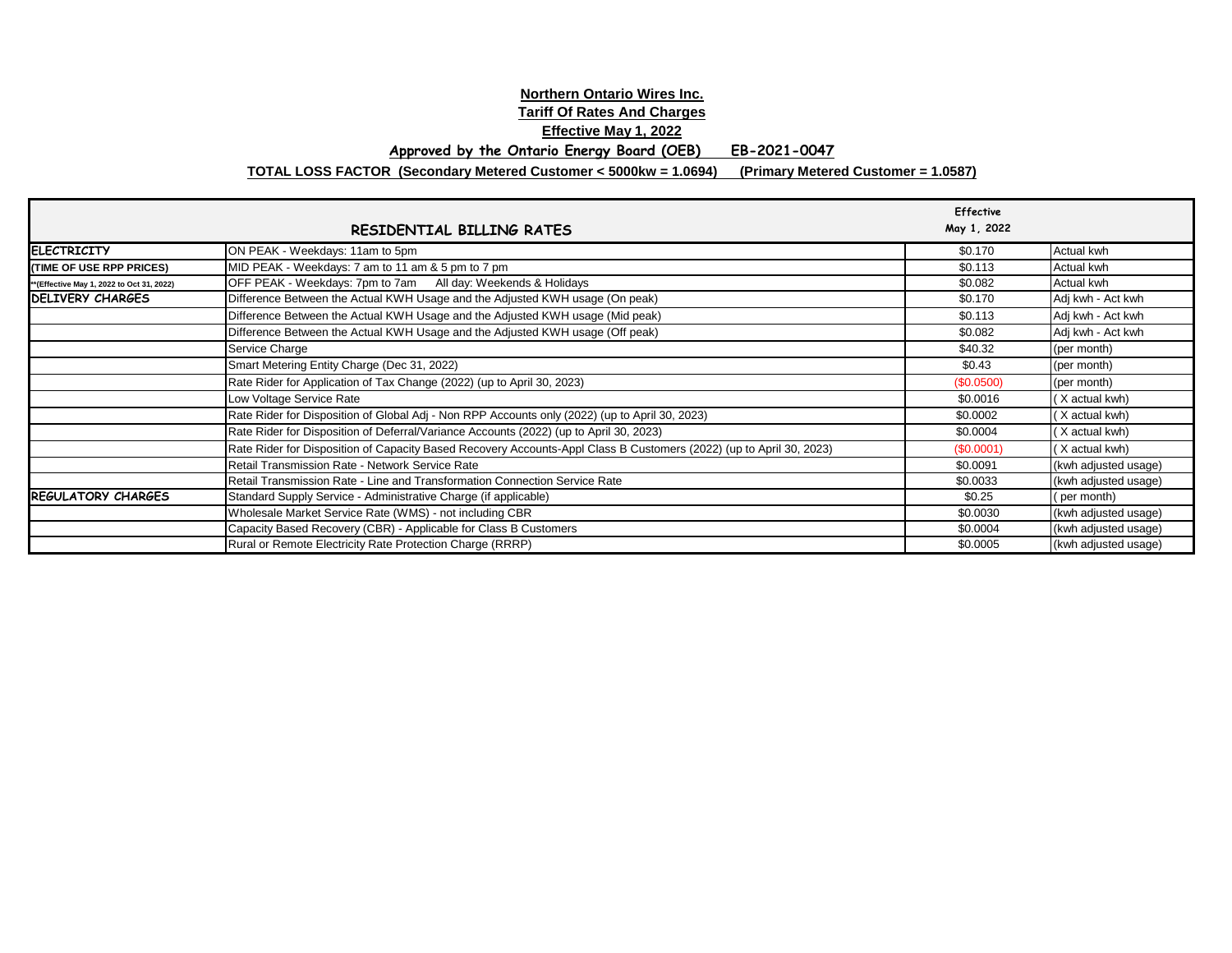## **Northern Ontario Wires Inc. Tariff Of Rates And Charges Effective May 1, 2022 Approved by the Ontario Energy Board (OEB) EB-2021-0047**

**TOTAL LOSS FACTOR (Secondary Metered Customer < 5000kw = 1.0694) (Primary Metered Customer = 1.0587)**

|                                            | RESIDENTIAL BILLING RATES                                                                                           | <b>Effective</b><br>May 1, 2022 |                      |
|--------------------------------------------|---------------------------------------------------------------------------------------------------------------------|---------------------------------|----------------------|
| <b>ELECTRICITY</b>                         | ON PEAK - Weekdays: 11am to 5pm                                                                                     | \$0.170                         | Actual kwh           |
| (TIME OF USE RPP PRICES)                   | MID PEAK - Weekdays: 7 am to 11 am & 5 pm to 7 pm                                                                   | \$0.113                         | Actual kwh           |
| ** (Effective May 1, 2022 to Oct 31, 2022) | OFF PEAK - Weekdays: 7pm to 7am All day: Weekends & Holidays                                                        | \$0.082                         | Actual kwh           |
| <b>DELIVERY CHARGES</b>                    | Difference Between the Actual KWH Usage and the Adjusted KWH usage (On peak)                                        | \$0.170                         | Adj kwh - Act kwh    |
|                                            | Difference Between the Actual KWH Usage and the Adjusted KWH usage (Mid peak)                                       | \$0.113                         | Adj kwh - Act kwh    |
|                                            | Difference Between the Actual KWH Usage and the Adjusted KWH usage (Off peak)                                       | \$0.082                         | Adj kwh - Act kwh    |
|                                            | Service Charge                                                                                                      | \$40.32                         | (per month)          |
|                                            | Smart Metering Entity Charge (Dec 31, 2022)                                                                         | \$0.43                          | (per month)          |
|                                            | Rate Rider for Application of Tax Change (2022) (up to April 30, 2023)                                              | (\$0.0500)                      | (per month)          |
|                                            | Low Voltage Service Rate                                                                                            | \$0.0016                        | (X actual kwh)       |
|                                            | Rate Rider for Disposition of Global Adj - Non RPP Accounts only (2022) (up to April 30, 2023)                      | \$0.0002                        | (X actual kwh)       |
|                                            | Rate Rider for Disposition of Deferral/Variance Accounts (2022) (up to April 30, 2023)                              | \$0.0004                        | (X actual kwh)       |
|                                            | Rate Rider for Disposition of Capacity Based Recovery Accounts-Appl Class B Customers (2022) (up to April 30, 2023) | (\$0.0001)                      | (X actual kwh)       |
|                                            | Retail Transmission Rate - Network Service Rate                                                                     | \$0.0091                        | (kwh adjusted usage) |
|                                            | Retail Transmission Rate - Line and Transformation Connection Service Rate                                          | \$0.0033                        | (kwh adjusted usage) |
| <b>REGULATORY CHARGES</b>                  | Standard Supply Service - Administrative Charge (if applicable)                                                     | \$0.25                          | (per month)          |
|                                            | Wholesale Market Service Rate (WMS) - not including CBR                                                             | \$0.0030                        | (kwh adjusted usage) |
|                                            | Capacity Based Recovery (CBR) - Applicable for Class B Customers                                                    | \$0.0004                        | (kwh adjusted usage) |
|                                            | Rural or Remote Electricity Rate Protection Charge (RRRP)                                                           | \$0.0005                        | (kwh adjusted usage) |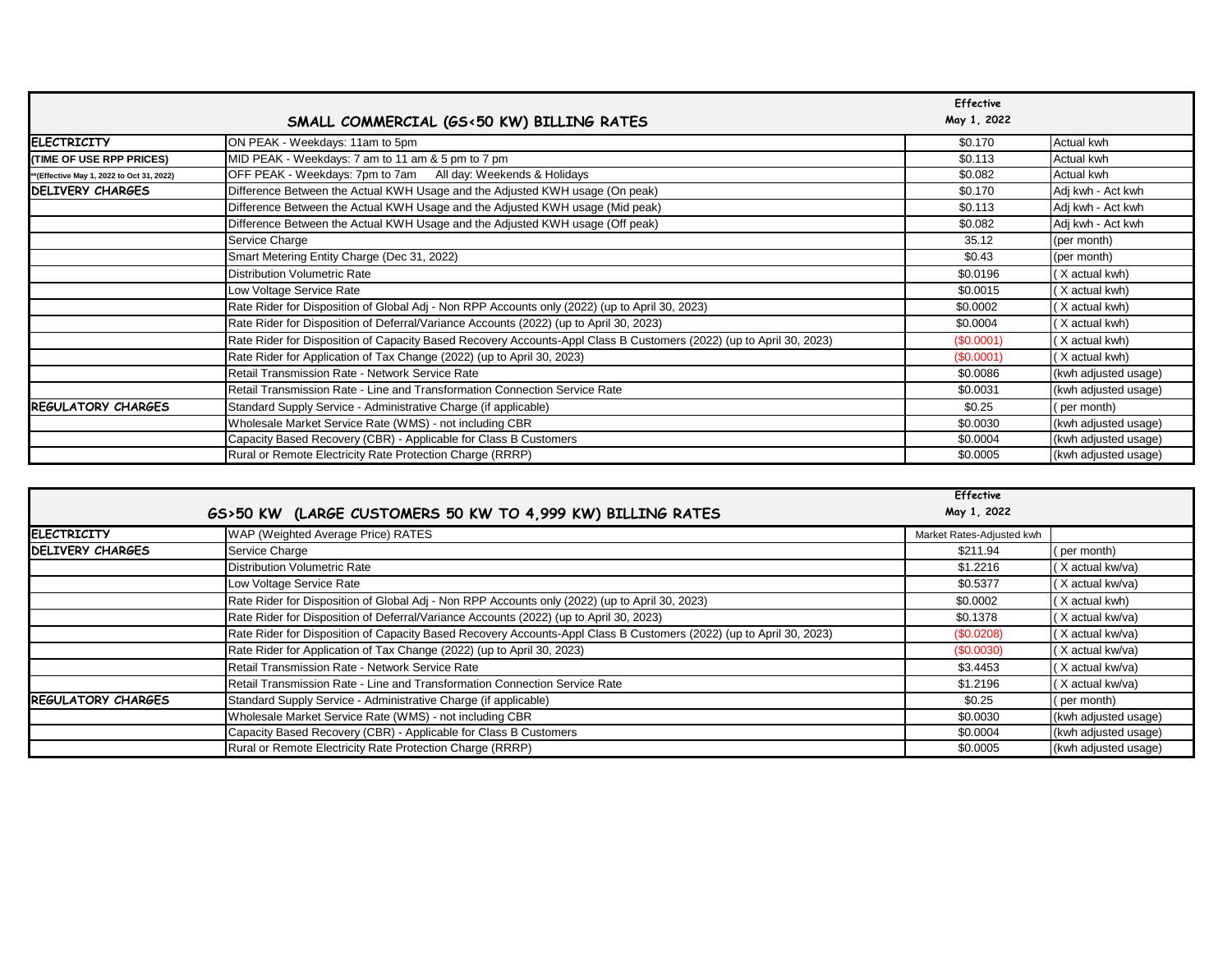|                                          | SMALL COMMERCIAL (GS<50 KW) BILLING RATES                                                                           | <b>Effective</b><br>May 1, 2022 |                      |
|------------------------------------------|---------------------------------------------------------------------------------------------------------------------|---------------------------------|----------------------|
| <b>ELECTRICITY</b>                       | ON PEAK - Weekdays: 11am to 5pm                                                                                     | \$0.170                         | Actual kwh           |
| (TIME OF USE RPP PRICES)                 | MID PEAK - Weekdays: 7 am to 11 am & 5 pm to 7 pm                                                                   | \$0.113                         | Actual kwh           |
| *(Effective May 1, 2022 to Oct 31, 2022) | OFF PEAK - Weekdays: 7pm to 7am All day: Weekends & Holidays                                                        | \$0.082                         | Actual kwh           |
| DELIVERY CHARGES                         | Difference Between the Actual KWH Usage and the Adjusted KWH usage (On peak)                                        | \$0.170                         | Adj kwh - Act kwh    |
|                                          | Difference Between the Actual KWH Usage and the Adjusted KWH usage (Mid peak)                                       | \$0.113                         | Adj kwh - Act kwh    |
|                                          | Difference Between the Actual KWH Usage and the Adjusted KWH usage (Off peak)                                       | \$0.082                         | Adj kwh - Act kwh    |
|                                          | Service Charge                                                                                                      | 35.12                           | (per month)          |
|                                          | Smart Metering Entity Charge (Dec 31, 2022)                                                                         | \$0.43                          | (per month)          |
|                                          | Distribution Volumetric Rate                                                                                        | \$0.0196                        | (X actual kwh)       |
|                                          | Low Voltage Service Rate                                                                                            | \$0.0015                        | (X actual kwh)       |
|                                          | Rate Rider for Disposition of Global Adj - Non RPP Accounts only (2022) (up to April 30, 2023)                      | \$0.0002                        | (X actual kwh)       |
|                                          | Rate Rider for Disposition of Deferral/Variance Accounts (2022) (up to April 30, 2023)                              | \$0.0004                        | (X actual kwh)       |
|                                          | Rate Rider for Disposition of Capacity Based Recovery Accounts-Appl Class B Customers (2022) (up to April 30, 2023) | (\$0.0001)                      | (X actual kwh)       |
|                                          | Rate Rider for Application of Tax Change (2022) (up to April 30, 2023)                                              | (\$0.0001)                      | (X actual kwh)       |
|                                          | Retail Transmission Rate - Network Service Rate                                                                     | \$0.0086                        | (kwh adjusted usage) |
|                                          | Retail Transmission Rate - Line and Transformation Connection Service Rate                                          | \$0.0031                        | (kwh adjusted usage) |
| <b>REGULATORY CHARGES</b>                | Standard Supply Service - Administrative Charge (if applicable)                                                     | \$0.25                          | (per month)          |
|                                          | Wholesale Market Service Rate (WMS) - not including CBR                                                             | \$0.0030                        | (kwh adjusted usage) |
|                                          | Capacity Based Recovery (CBR) - Applicable for Class B Customers                                                    | \$0.0004                        | (kwh adjusted usage) |
|                                          | Rural or Remote Electricity Rate Protection Charge (RRRP)                                                           | \$0.0005                        | (kwh adjusted usage) |

|                           | GS>50 KW (LARGE CUSTOMERS 50 KW TO 4,999 KW) BILLING RATES                                                          | <b>Effective</b><br>May 1, 2022 |                      |
|---------------------------|---------------------------------------------------------------------------------------------------------------------|---------------------------------|----------------------|
| <b>ELECTRICITY</b>        | WAP (Weighted Average Price) RATES                                                                                  | Market Rates-Adjusted kwh       |                      |
| <b>DELIVERY CHARGES</b>   | Service Charge                                                                                                      | \$211.94                        | (per month)          |
|                           | <b>Distribution Volumetric Rate</b>                                                                                 | \$1.2216                        | (X actual kw/va)     |
|                           | Low Voltage Service Rate                                                                                            | \$0.5377                        | (X actual kw/va)     |
|                           | Rate Rider for Disposition of Global Adj - Non RPP Accounts only (2022) (up to April 30, 2023)                      | \$0.0002                        | (X actual kwh)       |
|                           | Rate Rider for Disposition of Deferral/Variance Accounts (2022) (up to April 30, 2023)                              | \$0.1378                        | (X actual kw/va)     |
|                           | Rate Rider for Disposition of Capacity Based Recovery Accounts-Appl Class B Customers (2022) (up to April 30, 2023) | (\$0.0208)                      | (X actual kw/va)     |
|                           | Rate Rider for Application of Tax Change (2022) (up to April 30, 2023)                                              | (\$0.0030)                      | (X actual kw/va)     |
|                           | Retail Transmission Rate - Network Service Rate                                                                     | \$3.4453                        | (X actual kw/va)     |
|                           | Retail Transmission Rate - Line and Transformation Connection Service Rate                                          | \$1.2196                        | (X actual kw/va)     |
| <b>REGULATORY CHARGES</b> | Standard Supply Service - Administrative Charge (if applicable)                                                     | \$0.25                          | (per month)          |
|                           | Wholesale Market Service Rate (WMS) - not including CBR                                                             | \$0.0030                        | (kwh adjusted usage) |
|                           | Capacity Based Recovery (CBR) - Applicable for Class B Customers                                                    | \$0.0004                        | (kwh adjusted usage) |
|                           | Rural or Remote Electricity Rate Protection Charge (RRRP)                                                           | \$0.0005                        | (kwh adjusted usage) |